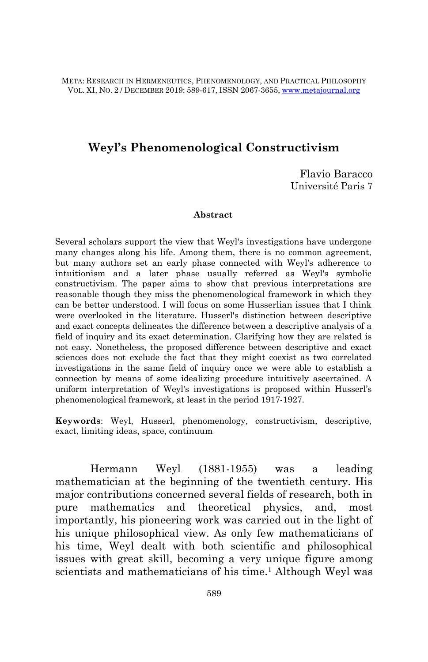META: RESEARCH IN HERMENEUTICS, PHENOMENOLOGY, AND PRACTICAL PHILOSOPHY VOL. XI, NO. 2 / DECEMBER 2019: 589-617, ISSN 2067-3655, [www.metajournal.org](http://www.metajournal.org/)

### **Weyl's Phenomenological Constructivism**

Flavio Baracco Université Paris 7

#### **Abstract**

Several scholars support the view that Weyl's investigations have undergone many changes along his life. Among them, there is no common agreement, but many authors set an early phase connected with Weyl's adherence to intuitionism and a later phase usually referred as Weyl's symbolic constructivism. The paper aims to show that previous interpretations are reasonable though they miss the phenomenological framework in which they can be better understood. I will focus on some Husserlian issues that I think were overlooked in the literature. Husserl's distinction between descriptive and exact concepts delineates the difference between a descriptive analysis of a field of inquiry and its exact determination. Clarifying how they are related is not easy. Nonetheless, the proposed difference between descriptive and exact sciences does not exclude the fact that they might coexist as two correlated investigations in the same field of inquiry once we were able to establish a connection by means of some idealizing procedure intuitively ascertained. A uniform interpretation of Weyl's investigations is proposed within Husserl"s phenomenological framework, at least in the period 1917-1927.

**Keywords**: Weyl, Husserl, phenomenology, constructivism, descriptive, exact, limiting ideas, space, continuum

Hermann Weyl (1881-1955) was a leading mathematician at the beginning of the twentieth century. His major contributions concerned several fields of research, both in pure mathematics and theoretical physics, and, most importantly, his pioneering work was carried out in the light of his unique philosophical view. As only few mathematicians of his time, Weyl dealt with both scientific and philosophical issues with great skill, becoming a very unique figure among scientists and mathematicians of his time.<sup>1</sup> Although Weyl was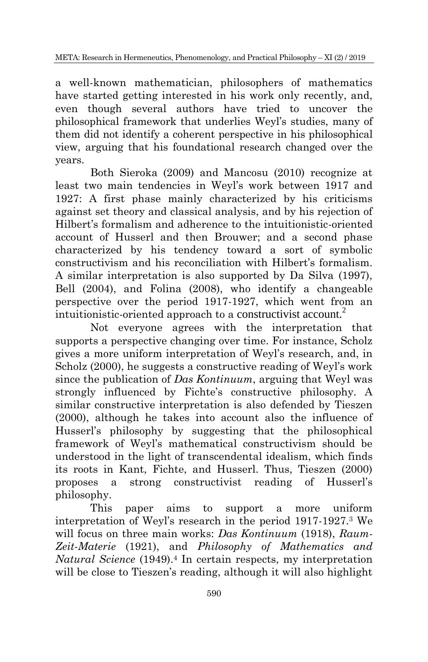a well-known mathematician, philosophers of mathematics have started getting interested in his work only recently, and, even though several authors have tried to uncover the philosophical framework that underlies Weyl"s studies, many of them did not identify a coherent perspective in his philosophical view, arguing that his foundational research changed over the years.

Both Sieroka (2009) and Mancosu (2010) recognize at least two main tendencies in Weyl"s work between 1917 and 1927: A first phase mainly characterized by his criticisms against set theory and classical analysis, and by his rejection of Hilbert"s formalism and adherence to the intuitionistic-oriented account of Husserl and then Brouwer; and a second phase characterized by his tendency toward a sort of symbolic constructivism and his reconciliation with Hilbert's formalism. A similar interpretation is also supported by Da Silva (1997), Bell (2004), and Folina (2008), who identify a changeable perspective over the period 1917-1927, which went from an intuitionistic-oriented approach to a constructivist account.<sup>2</sup>

Not everyone agrees with the interpretation that supports a perspective changing over time. For instance, Scholz gives a more uniform interpretation of Weyl"s research, and, in Scholz (2000), he suggests a constructive reading of Weyl's work since the publication of *Das Kontinuum*, arguing that Weyl was strongly influenced by Fichte's constructive philosophy. A similar constructive interpretation is also defended by Tieszen (2000), although he takes into account also the influence of Husserl"s philosophy by suggesting that the philosophical framework of Weyl"s mathematical constructivism should be understood in the light of transcendental idealism, which finds its roots in Kant, Fichte, and Husserl. Thus, Tieszen (2000) proposes a strong constructivist reading of Husserl"s philosophy.

This paper aims to support a more uniform interpretation of Weyl"s research in the period 1917-1927.<sup>3</sup> We will focus on three main works: *Das Kontinuum* (1918), *Raum-Zeit-Materie* (1921), and *Philosophy of Mathematics and Natural Science* (1949).<sup>4</sup> In certain respects, my interpretation will be close to Tieszen's reading, although it will also highlight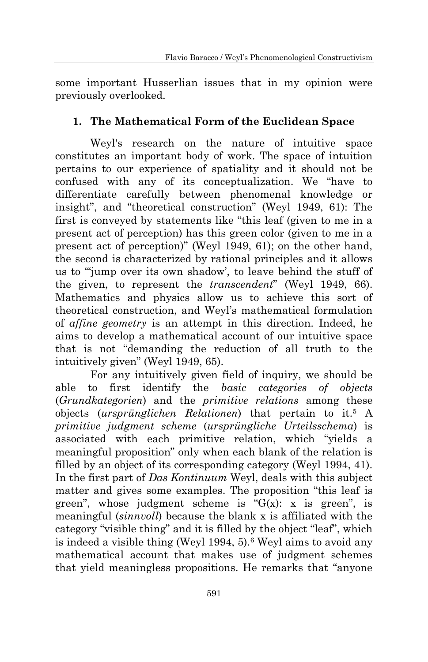some important Husserlian issues that in my opinion were previously overlooked.

# **1. The Mathematical Form of the Euclidean Space**

Weyl's research on the nature of intuitive space constitutes an important body of work. The space of intuition pertains to our experience of spatiality and it should not be confused with any of its conceptualization. We "have to differentiate carefully between phenomenal knowledge or insight", and "theoretical construction" (Weyl 1949, 61): The first is conveyed by statements like "this leaf (given to me in a present act of perception) has this green color (given to me in a present act of perception)" (Weyl 1949, 61); on the other hand, the second is characterized by rational principles and it allows us to ""jump over its own shadow", to leave behind the stuff of the given, to represent the *transcendent*" (Weyl 1949, 66). Mathematics and physics allow us to achieve this sort of theoretical construction, and Weyl"s mathematical formulation of *affine geometry* is an attempt in this direction. Indeed, he aims to develop a mathematical account of our intuitive space that is not "demanding the reduction of all truth to the intuitively given" (Weyl 1949, 65).

For any intuitively given field of inquiry, we should be able to first identify the *basic categories of objects* (*Grundkategorien*) and the *primitive relations* among these objects (*ursprünglichen Relationen*) that pertain to it.<sup>5</sup> A *primitive judgment scheme* (*ursprüngliche Urteilsschema*) is associated with each primitive relation, which "yields a meaningful proposition" only when each blank of the relation is filled by an object of its corresponding category (Weyl 1994, 41). In the first part of *Das Kontinuum* Weyl, deals with this subject matter and gives some examples. The proposition "this leaf is green", whose judgment scheme is " $G(x)$ : x is green", is meaningful (*sinnvoll*) because the blank x is affiliated with the category "visible thing" and it is filled by the object "leaf", which is indeed a visible thing (Weyl 1994, 5).<sup>6</sup> Weyl aims to avoid any mathematical account that makes use of judgment schemes that yield meaningless propositions. He remarks that "anyone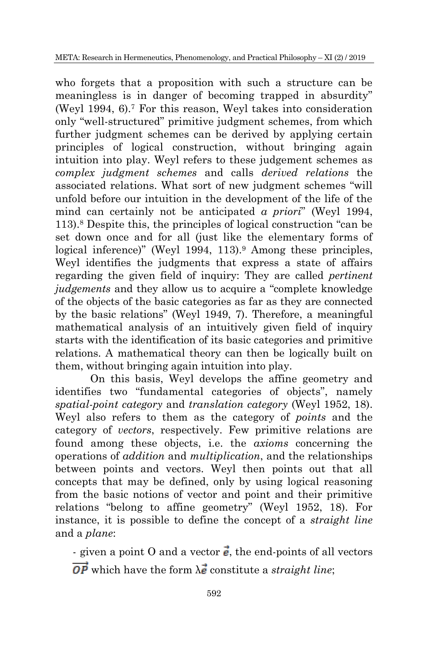who forgets that a proposition with such a structure can be meaningless is in danger of becoming trapped in absurdity" (Weyl 1994, 6).<sup>7</sup> For this reason, Weyl takes into consideration only "well-structured" primitive judgment schemes, from which further judgment schemes can be derived by applying certain principles of logical construction, without bringing again intuition into play. Weyl refers to these judgement schemes as *complex judgment schemes* and calls *derived relations* the associated relations. What sort of new judgment schemes "will unfold before our intuition in the development of the life of the mind can certainly not be anticipated *a priori*" (Weyl 1994, 113).<sup>8</sup> Despite this, the principles of logical construction "can be set down once and for all (just like the elementary forms of logical inference)" (Weyl 1994, 113).<sup>9</sup> Among these principles, Weyl identifies the judgments that express a state of affairs regarding the given field of inquiry: They are called *pertinent judgements* and they allow us to acquire a "complete knowledge of the objects of the basic categories as far as they are connected by the basic relations" (Weyl 1949, 7). Therefore, a meaningful mathematical analysis of an intuitively given field of inquiry starts with the identification of its basic categories and primitive relations. A mathematical theory can then be logically built on them, without bringing again intuition into play.

On this basis, Weyl develops the affine geometry and identifies two "fundamental categories of objects", namely *spatial-point category* and *translation category* (Weyl 1952, 18). Weyl also refers to them as the category of *points* and the category of *vectors*, respectively. Few primitive relations are found among these objects, i.e. the *axioms* concerning the operations of *addition* and *multiplication*, and the relationships between points and vectors. Weyl then points out that all concepts that may be defined, only by using logical reasoning from the basic notions of vector and point and their primitive relations "belong to affine geometry" (Weyl 1952, 18). For instance, it is possible to define the concept of a *straight line* and a *plane*:

- given a point O and a vector  $\vec{e}$ , the end-points of all vectors  $\overrightarrow{OP}$  which have the form  $\lambda \vec{e}$  constitute a *straight line*;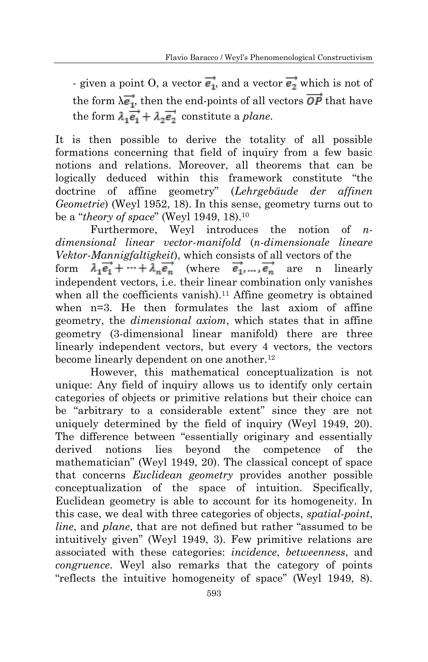- given a point O, a vector  $\overrightarrow{e_1}$ , and a vector  $\overrightarrow{e_2}$  which is not of the form  $\lambda \vec{e_1}$ , then the end-points of all vectors  $\vec{OP}$  that have the form  $\lambda_1 \vec{e_1} + \lambda_2 \vec{e_2}$  constitute a *plane*.

It is then possible to derive the totality of all possible formations concerning that field of inquiry from a few basic notions and relations. Moreover, all theorems that can be logically deduced within this framework constitute "the doctrine of affine geometry" (*Lehrgebäude der affinen Geometrie*) (Weyl 1952, 18). In this sense, geometry turns out to be a "*theory of space*" (Weyl 1949, 18).<sup>10</sup>

Furthermore, Weyl introduces the notion of *ndimensional linear vector-manifold* (*n-dimensionale lineare Vektor-Mannigfaltigkeit*), which consists of all vectors of the form  $\lambda_1 \vec{e_1} + \cdots + \lambda_n \vec{e_n}$  (where  $\vec{e_1}$ ,  $\cdots$ ,  $\vec{e_n}$  are n linearly independent vectors, i.e. their linear combination only vanishes when all the coefficients vanish).<sup>11</sup> Affine geometry is obtained when n=3. He then formulates the last axiom of affine geometry, the *dimensional axiom*, which states that in affine geometry (3-dimensional linear manifold) there are three linearly independent vectors, but every 4 vectors, the vectors become linearly dependent on one another.<sup>12</sup>

However, this mathematical conceptualization is not unique: Any field of inquiry allows us to identify only certain categories of objects or primitive relations but their choice can be "arbitrary to a considerable extent" since they are not uniquely determined by the field of inquiry (Weyl 1949, 20). The difference between "essentially originary and essentially derived notions lies beyond the competence of the mathematician" (Weyl 1949, 20). The classical concept of space that concerns *Euclidean geometry* provides another possible conceptualization of the space of intuition. Specifically, Euclidean geometry is able to account for its homogeneity. In this case, we deal with three categories of objects, *spatial-point*, *line*, and *plane*, that are not defined but rather "assumed to be intuitively given" (Weyl 1949, 3). Few primitive relations are associated with these categories: *incidence*, *betweenness*, and *congruence*. Weyl also remarks that the category of points "reflects the intuitive homogeneity of space" (Weyl 1949, 8).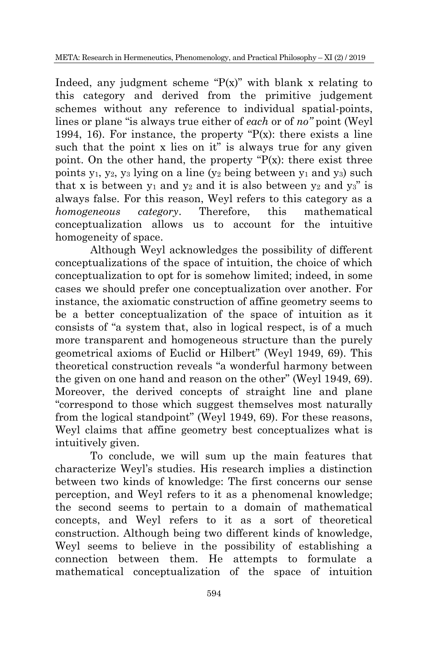Indeed, any judgment scheme " $P(x)$ " with blank x relating to this category and derived from the primitive judgement schemes without any reference to individual spatial-points, lines or plane "is always true either of *each* or of *no"* point (Weyl 1994, 16). For instance, the property " $P(x)$ : there exists a line such that the point x lies on it" is always true for any given point. On the other hand, the property  $P(x)$ : there exist three points  $y_1$ ,  $y_2$ ,  $y_3$  lying on a line ( $y_2$  being between  $y_1$  and  $y_3$ ) such that x is between  $y_1$  and  $y_2$  and it is also between  $y_2$  and  $y_3$ " is always false. For this reason, Weyl refers to this category as a *homogeneous category*. Therefore, this mathematical conceptualization allows us to account for the intuitive homogeneity of space.

Although Weyl acknowledges the possibility of different conceptualizations of the space of intuition, the choice of which conceptualization to opt for is somehow limited; indeed, in some cases we should prefer one conceptualization over another. For instance, the axiomatic construction of affine geometry seems to be a better conceptualization of the space of intuition as it consists of "a system that, also in logical respect, is of a much more transparent and homogeneous structure than the purely geometrical axioms of Euclid or Hilbert" (Weyl 1949, 69). This theoretical construction reveals "a wonderful harmony between the given on one hand and reason on the other" (Weyl 1949, 69). Moreover, the derived concepts of straight line and plane "correspond to those which suggest themselves most naturally from the logical standpoint" (Weyl 1949, 69). For these reasons, Weyl claims that affine geometry best conceptualizes what is intuitively given.

To conclude, we will sum up the main features that characterize Weyl"s studies. His research implies a distinction between two kinds of knowledge: The first concerns our sense perception, and Weyl refers to it as a phenomenal knowledge; the second seems to pertain to a domain of mathematical concepts, and Weyl refers to it as a sort of theoretical construction. Although being two different kinds of knowledge, Weyl seems to believe in the possibility of establishing a connection between them. He attempts to formulate a mathematical conceptualization of the space of intuition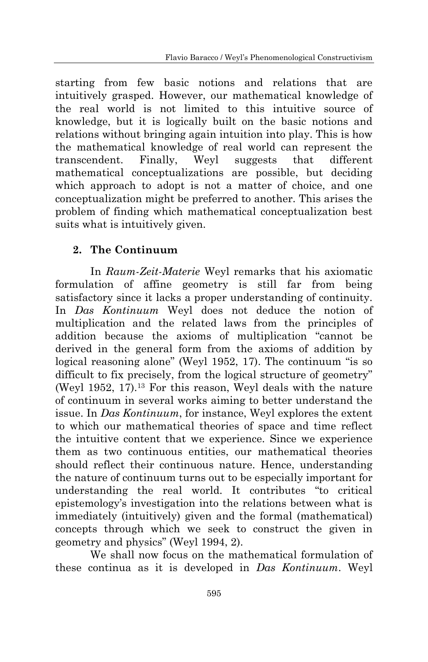starting from few basic notions and relations that are intuitively grasped. However, our mathematical knowledge of the real world is not limited to this intuitive source of knowledge, but it is logically built on the basic notions and relations without bringing again intuition into play. This is how the mathematical knowledge of real world can represent the transcendent. Finally, Weyl suggests that different mathematical conceptualizations are possible, but deciding which approach to adopt is not a matter of choice, and one conceptualization might be preferred to another. This arises the problem of finding which mathematical conceptualization best suits what is intuitively given.

## **2. The Continuum**

In *Raum-Zeit-Materie* Weyl remarks that his axiomatic formulation of affine geometry is still far from being satisfactory since it lacks a proper understanding of continuity. In *Das Kontinuum* Weyl does not deduce the notion of multiplication and the related laws from the principles of addition because the axioms of multiplication "cannot be derived in the general form from the axioms of addition by logical reasoning alone" (Weyl 1952, 17). The continuum "is so difficult to fix precisely, from the logical structure of geometry" (Weyl 1952, 17).<sup>13</sup> For this reason, Weyl deals with the nature of continuum in several works aiming to better understand the issue. In *Das Kontinuum*, for instance, Weyl explores the extent to which our mathematical theories of space and time reflect the intuitive content that we experience. Since we experience them as two continuous entities, our mathematical theories should reflect their continuous nature. Hence, understanding the nature of continuum turns out to be especially important for understanding the real world. It contributes "to critical epistemology"s investigation into the relations between what is immediately (intuitively) given and the formal (mathematical) concepts through which we seek to construct the given in geometry and physics" (Weyl 1994, 2).

We shall now focus on the mathematical formulation of these continua as it is developed in *Das Kontinuum*. Weyl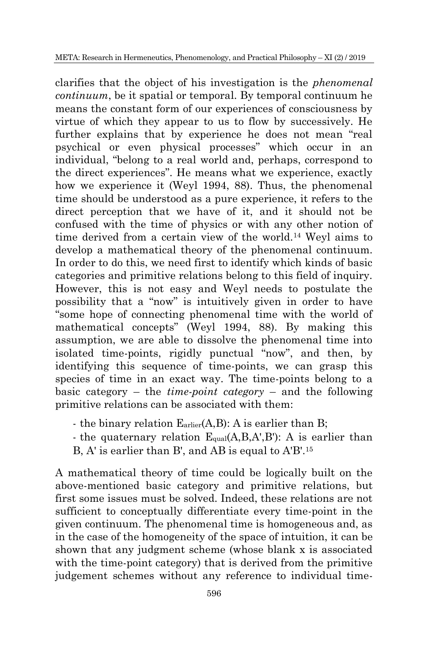clarifies that the object of his investigation is the *phenomenal continuum*, be it spatial or temporal. By temporal continuum he means the constant form of our experiences of consciousness by virtue of which they appear to us to flow by successively. He further explains that by experience he does not mean "real psychical or even physical processes" which occur in an individual, "belong to a real world and, perhaps, correspond to the direct experiences". He means what we experience, exactly how we experience it (Weyl 1994, 88). Thus, the phenomenal time should be understood as a pure experience, it refers to the direct perception that we have of it, and it should not be confused with the time of physics or with any other notion of time derived from a certain view of the world.<sup>14</sup> Weyl aims to develop a mathematical theory of the phenomenal continuum. In order to do this, we need first to identify which kinds of basic categories and primitive relations belong to this field of inquiry. However, this is not easy and Weyl needs to postulate the possibility that a "now" is intuitively given in order to have "some hope of connecting phenomenal time with the world of mathematical concepts" (Weyl 1994, 88). By making this assumption, we are able to dissolve the phenomenal time into isolated time-points, rigidly punctual "now", and then, by identifying this sequence of time-points, we can grasp this species of time in an exact way. The time-points belong to a basic category – the *time-point category* – and the following primitive relations can be associated with them:

- the binary relation  $E_{\text{arlier}}(A, B)$ : A is earlier than B;
- the quaternary relation  $E_{\text{qual}}(A, B, A', B')$ : A is earlier than B, A' is earlier than B', and AB is equal to A'B'.<sup>15</sup>

A mathematical theory of time could be logically built on the above-mentioned basic category and primitive relations, but first some issues must be solved. Indeed, these relations are not sufficient to conceptually differentiate every time-point in the given continuum. The phenomenal time is homogeneous and, as in the case of the homogeneity of the space of intuition, it can be shown that any judgment scheme (whose blank x is associated with the time-point category) that is derived from the primitive judgement schemes without any reference to individual time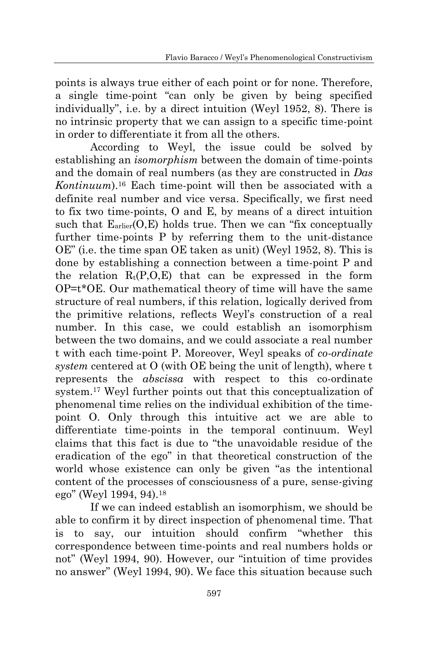points is always true either of each point or for none. Therefore, a single time-point "can only be given by being specified individually", i.e. by a direct intuition (Weyl 1952, 8). There is no intrinsic property that we can assign to a specific time-point in order to differentiate it from all the others.

According to Weyl, the issue could be solved by establishing an *isomorphism* between the domain of time-points and the domain of real numbers (as they are constructed in *Das Kontinuum*).<sup>16</sup> Each time-point will then be associated with a definite real number and vice versa. Specifically, we first need to fix two time-points, O and E, by means of a direct intuition such that  $E_{\text{arlier}}(O, E)$  holds true. Then we can "fix conceptually further time-points P by referring them to the unit-distance OE" (i.e. the time span OE taken as unit) (Weyl 1952, 8). This is done by establishing a connection between a time-point P and the relation  $R_t(P, O, E)$  that can be expressed in the form OP=t\*OE. Our mathematical theory of time will have the same structure of real numbers, if this relation, logically derived from the primitive relations, reflects Weyl"s construction of a real number. In this case, we could establish an isomorphism between the two domains, and we could associate a real number t with each time-point P. Moreover, Weyl speaks of *co-ordinate system* centered at O (with OE being the unit of length), where t represents the *abscissa* with respect to this co-ordinate system.<sup>17</sup> Weyl further points out that this conceptualization of phenomenal time relies on the individual exhibition of the timepoint O. Only through this intuitive act we are able to differentiate time-points in the temporal continuum. Weyl claims that this fact is due to "the unavoidable residue of the eradication of the ego" in that theoretical construction of the world whose existence can only be given "as the intentional content of the processes of consciousness of a pure, sense-giving ego" (Weyl 1994, 94).<sup>18</sup>

If we can indeed establish an isomorphism, we should be able to confirm it by direct inspection of phenomenal time. That is to say, our intuition should confirm "whether this correspondence between time-points and real numbers holds or not" (Weyl 1994, 90). However, our "intuition of time provides no answer" (Weyl 1994, 90). We face this situation because such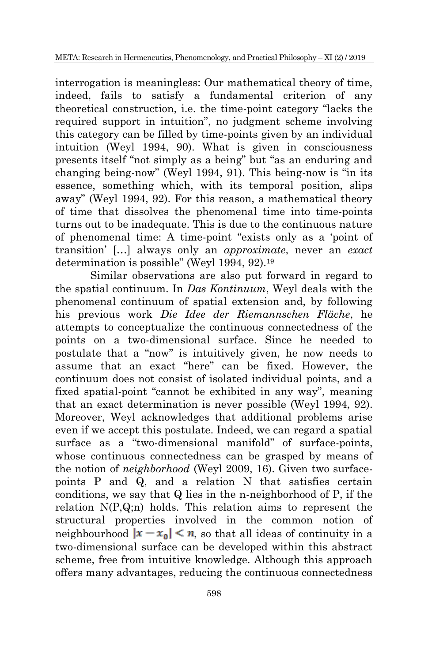interrogation is meaningless: Our mathematical theory of time, indeed, fails to satisfy a fundamental criterion of any theoretical construction, i.e. the time-point category "lacks the required support in intuition", no judgment scheme involving this category can be filled by time-points given by an individual intuition (Weyl 1994, 90). What is given in consciousness presents itself "not simply as a being" but "as an enduring and changing being-now" (Weyl 1994, 91). This being-now is "in its essence, something which, with its temporal position, slips away" (Weyl 1994, 92). For this reason, a mathematical theory of time that dissolves the phenomenal time into time-points turns out to be inadequate. This is due to the continuous nature of phenomenal time: A time-point "exists only as a "point of transition" […] always only an *approximate*, never an *exact* determination is possible" (Weyl 1994, 92).<sup>19</sup>

Similar observations are also put forward in regard to the spatial continuum. In *Das Kontinuum*, Weyl deals with the phenomenal continuum of spatial extension and, by following his previous work *Die Idee der Riemannschen Fläche*, he attempts to conceptualize the continuous connectedness of the points on a two-dimensional surface. Since he needed to postulate that a "now" is intuitively given, he now needs to assume that an exact "here" can be fixed. However, the continuum does not consist of isolated individual points, and a fixed spatial-point "cannot be exhibited in any way", meaning that an exact determination is never possible (Weyl 1994, 92). Moreover, Weyl acknowledges that additional problems arise even if we accept this postulate. Indeed, we can regard a spatial surface as a "two-dimensional manifold" of surface-points, whose continuous connectedness can be grasped by means of the notion of *neighborhood* (Weyl 2009, 16). Given two surfacepoints P and Q, and a relation N that satisfies certain conditions, we say that Q lies in the n-neighborhood of P, if the relation N(P,Q;n) holds. This relation aims to represent the structural properties involved in the common notion of neighbourhood  $|x - x_0| < n$ , so that all ideas of continuity in a two-dimensional surface can be developed within this abstract scheme, free from intuitive knowledge. Although this approach offers many advantages, reducing the continuous connectedness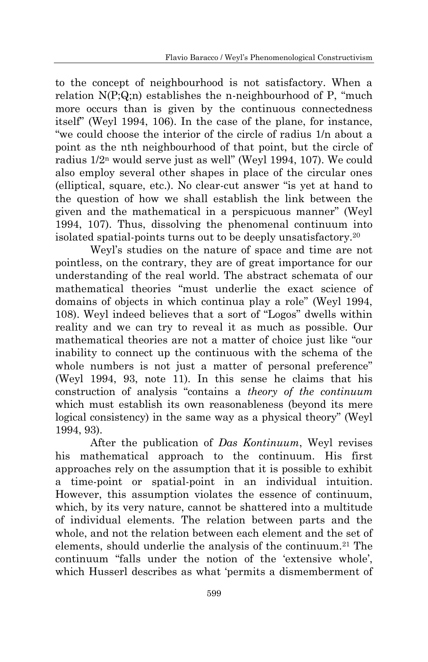to the concept of neighbourhood is not satisfactory. When a relation  $N(P;Q;n)$  establishes the n-neighbourhood of P, "much" more occurs than is given by the continuous connectedness itself" (Weyl 1994, 106). In the case of the plane, for instance, "we could choose the interior of the circle of radius 1/n about a point as the nth neighbourhood of that point, but the circle of radius 1/2<sup>n</sup> would serve just as well" (Weyl 1994, 107). We could also employ several other shapes in place of the circular ones (elliptical, square, etc.). No clear-cut answer "is yet at hand to the question of how we shall establish the link between the given and the mathematical in a perspicuous manner" (Weyl 1994, 107). Thus, dissolving the phenomenal continuum into isolated spatial-points turns out to be deeply unsatisfactory.<sup>20</sup>

Weyl"s studies on the nature of space and time are not pointless, on the contrary, they are of great importance for our understanding of the real world. The abstract schemata of our mathematical theories "must underlie the exact science of domains of objects in which continua play a role" (Weyl 1994, 108). Weyl indeed believes that a sort of "Logos" dwells within reality and we can try to reveal it as much as possible. Our mathematical theories are not a matter of choice just like "our inability to connect up the continuous with the schema of the whole numbers is not just a matter of personal preference" (Weyl 1994, 93, note 11). In this sense he claims that his construction of analysis "contains a *theory of the continuum* which must establish its own reasonableness (beyond its mere logical consistency) in the same way as a physical theory" (Weyl 1994, 93).

After the publication of *Das Kontinuum*, Weyl revises his mathematical approach to the continuum. His first approaches rely on the assumption that it is possible to exhibit a time-point or spatial-point in an individual intuition. However, this assumption violates the essence of continuum, which, by its very nature, cannot be shattered into a multitude of individual elements. The relation between parts and the whole, and not the relation between each element and the set of elements, should underlie the analysis of the continuum.<sup>21</sup> The continuum "falls under the notion of the "extensive whole", which Husserl describes as what "permits a dismemberment of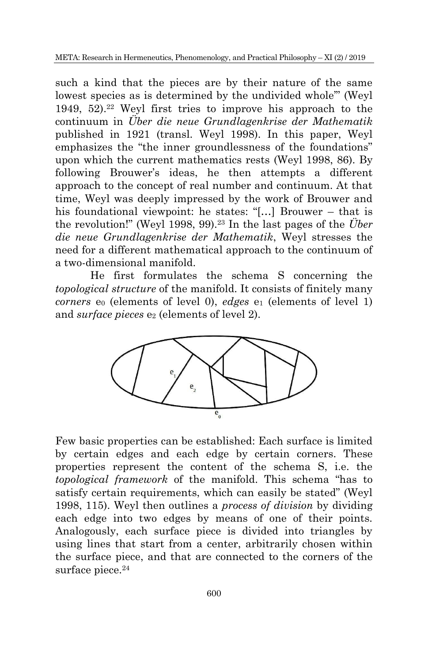such a kind that the pieces are by their nature of the same lowest species as is determined by the undivided whole" (Weyl 1949,  $52$ ).<sup>22</sup> Weyl first tries to improve his approach to the continuum in *Über die neue Grundlagenkrise der Mathematik* published in 1921 (transl. Weyl 1998). In this paper, Weyl emphasizes the "the inner groundlessness of the foundations" upon which the current mathematics rests (Weyl 1998, 86). By following Brouwer's ideas, he then attempts a different approach to the concept of real number and continuum. At that time, Weyl was deeply impressed by the work of Brouwer and his foundational viewpoint: he states: "[…] Brouwer – that is the revolution!" (Weyl 1998, 99).<sup>23</sup> In the last pages of the  $\ddot{U}$ *ber die neue Grundlagenkrise der Mathematik*, Weyl stresses the need for a different mathematical approach to the continuum of a two-dimensional manifold.

He first formulates the schema S concerning the *topological structure* of the manifold. It consists of finitely many *corners*  $e_0$  (elements of level 0), *edges*  $e_1$  (elements of level 1) and *surface pieces* e<sub>2</sub> (elements of level 2).



Few basic properties can be established: Each surface is limited by certain edges and each edge by certain corners. These properties represent the content of the schema S, i.e. the *topological framework* of the manifold. This schema "has to satisfy certain requirements, which can easily be stated" (Weyl 1998, 115). Weyl then outlines a *process of division* by dividing each edge into two edges by means of one of their points. Analogously, each surface piece is divided into triangles by using lines that start from a center, arbitrarily chosen within the surface piece, and that are connected to the corners of the surface piece.<sup>24</sup>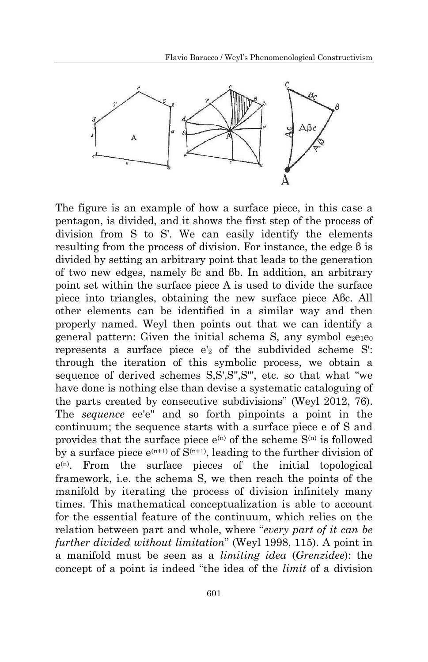

The figure is an example of how a surface piece, in this case a pentagon, is divided, and it shows the first step of the process of division from S to S'. We can easily identify the elements resulting from the process of division. For instance, the edge β is divided by setting an arbitrary point that leads to the generation of two new edges, namely βc and βb. In addition, an arbitrary point set within the surface piece A is used to divide the surface piece into triangles, obtaining the new surface piece Aβc. All other elements can be identified in a similar way and then properly named. Weyl then points out that we can identify a general pattern: Given the initial schema S, any symbol  $e_2e_1e_0$ represents a surface piece e'<sup>2</sup> of the subdivided scheme S': through the iteration of this symbolic process, we obtain a sequence of derived schemes S,S',S",S", etc. so that what "we have done is nothing else than devise a systematic cataloguing of the parts created by consecutive subdivisions" (Weyl 2012, 76). The *sequence* ee'e'' and so forth pinpoints a point in the continuum; the sequence starts with a surface piece e of S and provides that the surface piece  $e^{(n)}$  of the scheme  $S^{(n)}$  is followed by a surface piece  $e^{(n+1)}$  of  $S^{(n+1)}$ , leading to the further division of e (n). From the surface pieces of the initial topological framework, i.e. the schema S, we then reach the points of the manifold by iterating the process of division infinitely many times. This mathematical conceptualization is able to account for the essential feature of the continuum, which relies on the relation between part and whole, where "*every part of it can be further divided without limitation*" (Weyl 1998, 115). A point in a manifold must be seen as a *limiting idea* (*Grenzidee*): the concept of a point is indeed "the idea of the *limit* of a division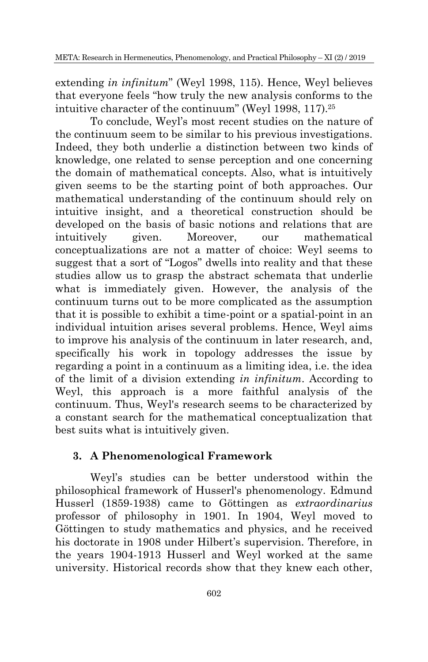extending *in infinitum*" (Weyl 1998, 115). Hence, Weyl believes that everyone feels "how truly the new analysis conforms to the intuitive character of the continuum" (Weyl 1998, 117).<sup>25</sup>

To conclude, Weyl"s most recent studies on the nature of the continuum seem to be similar to his previous investigations. Indeed, they both underlie a distinction between two kinds of knowledge, one related to sense perception and one concerning the domain of mathematical concepts. Also, what is intuitively given seems to be the starting point of both approaches. Our mathematical understanding of the continuum should rely on intuitive insight, and a theoretical construction should be developed on the basis of basic notions and relations that are intuitively given. Moreover, our mathematical conceptualizations are not a matter of choice: Weyl seems to suggest that a sort of "Logos" dwells into reality and that these studies allow us to grasp the abstract schemata that underlie what is immediately given. However, the analysis of the continuum turns out to be more complicated as the assumption that it is possible to exhibit a time-point or a spatial-point in an individual intuition arises several problems. Hence, Weyl aims to improve his analysis of the continuum in later research, and, specifically his work in topology addresses the issue by regarding a point in a continuum as a limiting idea, i.e. the idea of the limit of a division extending *in infinitum*. According to Weyl, this approach is a more faithful analysis of the continuum. Thus, Weyl's research seems to be characterized by a constant search for the mathematical conceptualization that best suits what is intuitively given.

### **3. A Phenomenological Framework**

Weyl"s studies can be better understood within the philosophical framework of Husserl's phenomenology. Edmund Husserl (1859-1938) came to Göttingen as *extraordinarius*  professor of philosophy in 1901. In 1904, Weyl moved to Göttingen to study mathematics and physics, and he received his doctorate in 1908 under Hilbert's supervision. Therefore, in the years 1904-1913 Husserl and Weyl worked at the same university. Historical records show that they knew each other,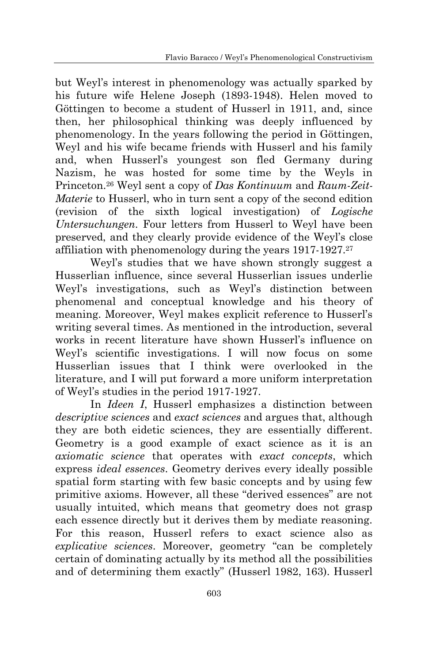but Weyl"s interest in phenomenology was actually sparked by his future wife Helene Joseph (1893-1948). Helen moved to Göttingen to become a student of Husserl in 1911, and, since then, her philosophical thinking was deeply influenced by phenomenology. In the years following the period in Göttingen, Weyl and his wife became friends with Husserl and his family and, when Husserl"s youngest son fled Germany during Nazism, he was hosted for some time by the Weyls in Princeton.<sup>26</sup> Weyl sent a copy of *Das Kontinuum* and *Raum-Zeit-Materie* to Husserl, who in turn sent a copy of the second edition (revision of the sixth logical investigation) of *Logische Untersuchungen*. Four letters from Husserl to Weyl have been preserved, and they clearly provide evidence of the Weyl"s close affiliation with phenomenology during the years 1917-1927.<sup>27</sup>

Weyl's studies that we have shown strongly suggest a Husserlian influence, since several Husserlian issues underlie Weyl's investigations, such as Weyl's distinction between phenomenal and conceptual knowledge and his theory of meaning. Moreover, Weyl makes explicit reference to Husserl"s writing several times. As mentioned in the introduction, several works in recent literature have shown Husserl's influence on Weyl"s scientific investigations. I will now focus on some Husserlian issues that I think were overlooked in the literature, and I will put forward a more uniform interpretation of Weyl"s studies in the period 1917-1927.

In *Ideen I*, Husserl emphasizes a distinction between *descriptive sciences* and *exact sciences* and argues that, although they are both eidetic sciences, they are essentially different. Geometry is a good example of exact science as it is an *axiomatic science* that operates with *exact concepts*, which express *ideal essences*. Geometry derives every ideally possible spatial form starting with few basic concepts and by using few primitive axioms. However, all these "derived essences" are not usually intuited, which means that geometry does not grasp each essence directly but it derives them by mediate reasoning. For this reason, Husserl refers to exact science also as *explicative sciences*. Moreover, geometry "can be completely certain of dominating actually by its method all the possibilities and of determining them exactly" (Husserl 1982, 163). Husserl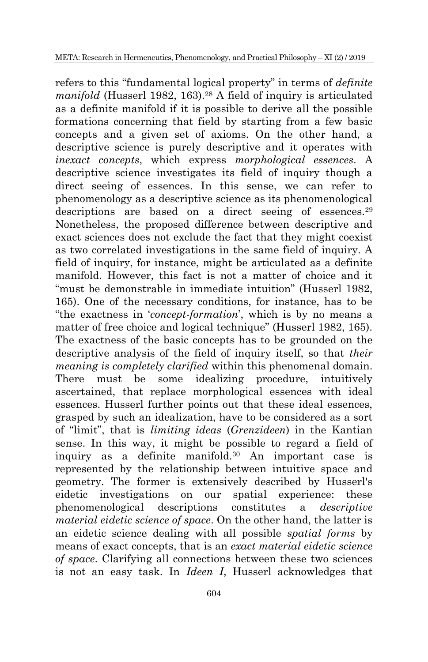refers to this "fundamental logical property" in terms of *definite manifold* (Husserl 1982, 163).<sup>28</sup> A field of inquiry is articulated as a definite manifold if it is possible to derive all the possible formations concerning that field by starting from a few basic concepts and a given set of axioms. On the other hand, a descriptive science is purely descriptive and it operates with *inexact concepts*, which express *morphological essences*. A descriptive science investigates its field of inquiry though a direct seeing of essences. In this sense, we can refer to phenomenology as a descriptive science as its phenomenological descriptions are based on a direct seeing of essences.<sup>29</sup> Nonetheless, the proposed difference between descriptive and exact sciences does not exclude the fact that they might coexist as two correlated investigations in the same field of inquiry. A field of inquiry, for instance, might be articulated as a definite manifold. However, this fact is not a matter of choice and it "must be demonstrable in immediate intuition" (Husserl 1982, 165). One of the necessary conditions, for instance, has to be "the exactness in "*concept-formation*", which is by no means a matter of free choice and logical technique" (Husserl 1982, 165). The exactness of the basic concepts has to be grounded on the descriptive analysis of the field of inquiry itself, so that *their meaning is completely clarified* within this phenomenal domain. There must be some idealizing procedure, intuitively ascertained, that replace morphological essences with ideal essences. Husserl further points out that these ideal essences, grasped by such an idealization, have to be considered as a sort of "limit", that is *limiting ideas* (*Grenzideen*) in the Kantian sense. In this way, it might be possible to regard a field of inquiry as a definite manifold.<sup>30</sup> An important case is represented by the relationship between intuitive space and geometry. The former is extensively described by Husserl's eidetic investigations on our spatial experience: these phenomenological descriptions constitutes a *descriptive material eidetic science of space*. On the other hand, the latter is an eidetic science dealing with all possible *spatial forms* by means of exact concepts, that is an *exact material eidetic science of space*. Clarifying all connections between these two sciences is not an easy task. In *Ideen I*, Husserl acknowledges that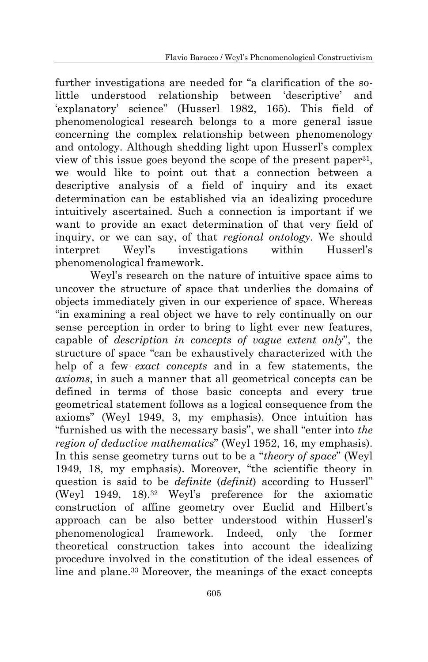further investigations are needed for "a clarification of the solittle understood relationship between "descriptive" and 'explanatory' science" (Husserl 1982, 165). This field of phenomenological research belongs to a more general issue concerning the complex relationship between phenomenology and ontology. Although shedding light upon Husserl"s complex view of this issue goes beyond the scope of the present paper<sup>31</sup>, we would like to point out that a connection between a descriptive analysis of a field of inquiry and its exact determination can be established via an idealizing procedure intuitively ascertained. Such a connection is important if we want to provide an exact determination of that very field of inquiry, or we can say, of that *regional ontology*. We should interpret Weyl"s investigations within Husserl"s phenomenological framework.

Weyl"s research on the nature of intuitive space aims to uncover the structure of space that underlies the domains of objects immediately given in our experience of space. Whereas "in examining a real object we have to rely continually on our sense perception in order to bring to light ever new features. capable of *description in concepts of vague extent only*", the structure of space "can be exhaustively characterized with the help of a few *exact concepts* and in a few statements, the *axioms*, in such a manner that all geometrical concepts can be defined in terms of those basic concepts and every true geometrical statement follows as a logical consequence from the axioms" (Weyl 1949, 3, my emphasis). Once intuition has "furnished us with the necessary basis", we shall "enter into *the region of deductive mathematics*" (Weyl 1952, 16, my emphasis). In this sense geometry turns out to be a "*theory of space*" (Weyl 1949, 18, my emphasis). Moreover, "the scientific theory in question is said to be *definite* (*definit*) according to Husserl" (Weyl 1949, 18).<sup>32</sup> Weyl"s preference for the axiomatic construction of affine geometry over Euclid and Hilbert's approach can be also better understood within Husserl"s phenomenological framework. Indeed, only the former theoretical construction takes into account the idealizing procedure involved in the constitution of the ideal essences of line and plane.<sup>33</sup> Moreover, the meanings of the exact concepts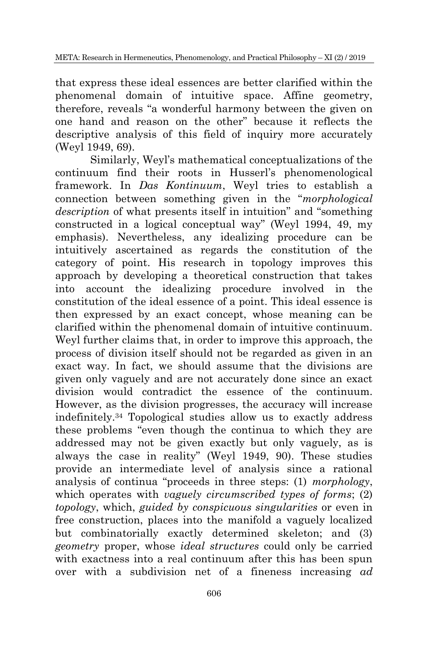that express these ideal essences are better clarified within the phenomenal domain of intuitive space. Affine geometry, therefore, reveals "a wonderful harmony between the given on one hand and reason on the other" because it reflects the descriptive analysis of this field of inquiry more accurately (Weyl 1949, 69).

Similarly, Weyl"s mathematical conceptualizations of the continuum find their roots in Husserl"s phenomenological framework. In *Das Kontinuum*, Weyl tries to establish a connection between something given in the "*morphological description* of what presents itself in intuition" and "something constructed in a logical conceptual way" (Weyl 1994, 49, my emphasis). Nevertheless, any idealizing procedure can be intuitively ascertained as regards the constitution of the category of point. His research in topology improves this approach by developing a theoretical construction that takes into account the idealizing procedure involved in the constitution of the ideal essence of a point. This ideal essence is then expressed by an exact concept, whose meaning can be clarified within the phenomenal domain of intuitive continuum. Weyl further claims that, in order to improve this approach, the process of division itself should not be regarded as given in an exact way. In fact, we should assume that the divisions are given only vaguely and are not accurately done since an exact division would contradict the essence of the continuum. However, as the division progresses, the accuracy will increase indefinitely.<sup>34</sup> Topological studies allow us to exactly address these problems "even though the continua to which they are addressed may not be given exactly but only vaguely, as is always the case in reality" (Weyl 1949, 90). These studies provide an intermediate level of analysis since a rational analysis of continua "proceeds in three steps: (1) *morphology*, which operates with *vaguely circumscribed types of forms*; (2) *topology*, which, *guided by conspicuous singularities* or even in free construction, places into the manifold a vaguely localized but combinatorially exactly determined skeleton; and (3) *geometry* proper, whose *ideal structures* could only be carried with exactness into a real continuum after this has been spun over with a subdivision net of a fineness increasing *ad*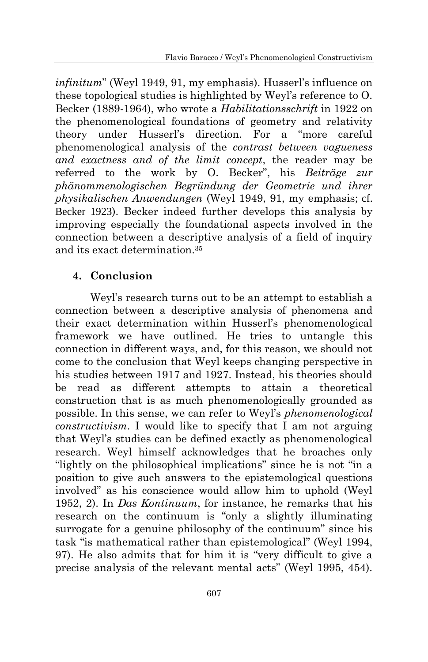*infinitum*" (Weyl 1949, 91, my emphasis). Husserl"s influence on these topological studies is highlighted by Weyl"s reference to O. Becker (1889-1964), who wrote a *Habilitationsschrift* in 1922 on the phenomenological foundations of geometry and relativity theory under Husserl"s direction. For a "more careful phenomenological analysis of the *contrast between vagueness and exactness and of the limit concept*, the reader may be referred to the work by O. Becker", his *Beiträge zur phänommenologischen Begründung der Geometrie und ihrer physikalischen Anwendungen* (Weyl 1949, 91, my emphasis; cf. Becker 1923). Becker indeed further develops this analysis by improving especially the foundational aspects involved in the connection between a descriptive analysis of a field of inquiry and its exact determination.<sup>35</sup>

## **4. Conclusion**

Weyl"s research turns out to be an attempt to establish a connection between a descriptive analysis of phenomena and their exact determination within Husserl"s phenomenological framework we have outlined. He tries to untangle this connection in different ways, and, for this reason, we should not come to the conclusion that Weyl keeps changing perspective in his studies between 1917 and 1927. Instead, his theories should be read as different attempts to attain a theoretical construction that is as much phenomenologically grounded as possible. In this sense, we can refer to Weyl"s *phenomenological constructivism*. I would like to specify that I am not arguing that Weyl"s studies can be defined exactly as phenomenological research. Weyl himself acknowledges that he broaches only "lightly on the philosophical implications" since he is not "in a position to give such answers to the epistemological questions involved" as his conscience would allow him to uphold (Weyl 1952, 2). In *Das Kontinuum*, for instance, he remarks that his research on the continuum is "only a slightly illuminating surrogate for a genuine philosophy of the continuum" since his task "is mathematical rather than epistemological" (Weyl 1994, 97). He also admits that for him it is "very difficult to give a precise analysis of the relevant mental acts" (Weyl 1995, 454).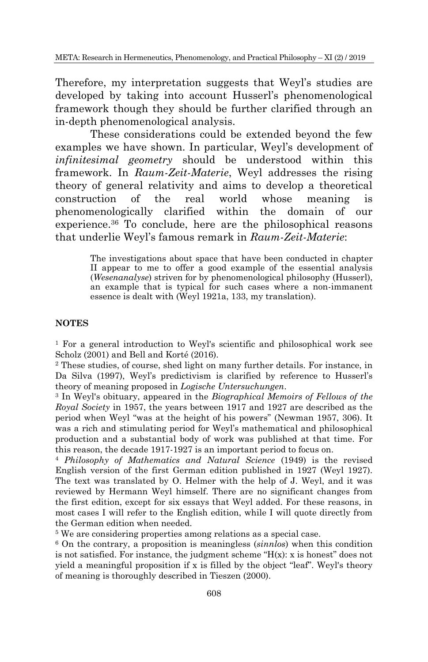Therefore, my interpretation suggests that Weyl's studies are developed by taking into account Husserl"s phenomenological framework though they should be further clarified through an in-depth phenomenological analysis.

These considerations could be extended beyond the few examples we have shown. In particular, Weyl"s development of *infinitesimal geometry* should be understood within this framework. In *Raum-Zeit-Materie*, Weyl addresses the rising theory of general relativity and aims to develop a theoretical construction of the real world whose meaning is phenomenologically clarified within the domain of our experience.<sup>36</sup> To conclude, here are the philosophical reasons that underlie Weyl"s famous remark in *Raum-Zeit-Materie*:

> The investigations about space that have been conducted in chapter II appear to me to offer a good example of the essential analysis (*Wesenanalyse*) striven for by phenomenological philosophy (Husserl), an example that is typical for such cases where a non-immanent essence is dealt with (Weyl 1921a, 133, my translation).

#### **NOTES**

<sup>1</sup> For a general introduction to Weyl's scientific and philosophical work see Scholz (2001) and Bell and Korté (2016).

<sup>2</sup> These studies, of course, shed light on many further details. For instance, in Da Silva (1997), Weyl's predictivism is clarified by reference to Husserl's theory of meaning proposed in *Logische Untersuchungen*.

<sup>3</sup> In Weyl's obituary, appeared in the *Biographical Memoirs of Fellows of the Royal Society* in 1957, the years between 1917 and 1927 are described as the period when Weyl "was at the height of his powers" (Newman 1957, 306). It was a rich and stimulating period for Weyl's mathematical and philosophical production and a substantial body of work was published at that time. For this reason, the decade 1917-1927 is an important period to focus on.

<sup>4</sup> *Philosophy of Mathematics and Natural Science* (1949) is the revised English version of the first German edition published in 1927 (Weyl 1927). The text was translated by O. Helmer with the help of J. Weyl, and it was reviewed by Hermann Weyl himself. There are no significant changes from the first edition, except for six essays that Weyl added. For these reasons, in most cases I will refer to the English edition, while I will quote directly from the German edition when needed.

<sup>5</sup> We are considering properties among relations as a special case.

<sup>6</sup> On the contrary, a proposition is meaningless (*sinnlos*) when this condition is not satisfied. For instance, the judgment scheme " $H(x)$ : x is honest" does not yield a meaningful proposition if x is filled by the object "leaf". Weyl's theory of meaning is thoroughly described in Tieszen (2000).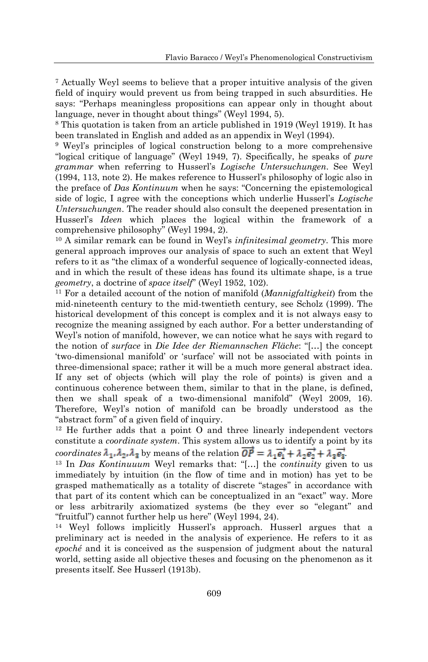<sup>7</sup> Actually Weyl seems to believe that a proper intuitive analysis of the given field of inquiry would prevent us from being trapped in such absurdities. He says: "Perhaps meaningless propositions can appear only in thought about language, never in thought about things" (Weyl 1994, 5).

<sup>8</sup> This quotation is taken from an article published in 1919 (Weyl 1919). It has been translated in English and added as an appendix in Weyl (1994).

<sup>9</sup> Weyl"s principles of logical construction belong to a more comprehensive "logical critique of language" (Weyl 1949, 7). Specifically, he speaks of *pure grammar* when referring to Husserl"s *Logische Untersuchungen*. See Weyl (1994, 113, note 2). He makes reference to Husserl"s philosophy of logic also in the preface of *Das Kontinuum* when he says: "Concerning the epistemological side of logic, I agree with the conceptions which underlie Husserl"s *Logische Untersuchungen*. The reader should also consult the deepened presentation in Husserl"s *Ideen* which places the logical within the framework of a comprehensive philosophy" (Weyl 1994, 2).

<sup>10</sup> A similar remark can be found in Weyl"s *infinitesimal geometry*. This more general approach improves our analysis of space to such an extent that Weyl refers to it as "the climax of a wonderful sequence of logically-connected ideas, and in which the result of these ideas has found its ultimate shape, is a true *geometry*, a doctrine of *space itself*" (Weyl 1952, 102).

<sup>11</sup> For a detailed account of the notion of manifold (*Mannigfaltigkeit*) from the mid-nineteenth century to the mid-twentieth century, see Scholz (1999). The historical development of this concept is complex and it is not always easy to recognize the meaning assigned by each author. For a better understanding of Weyl"s notion of manifold, however, we can notice what he says with regard to the notion of *surface* in *Die Idee der Riemannschen Fläche*: "[…] the concept "two-dimensional manifold" or "surface" will not be associated with points in three-dimensional space; rather it will be a much more general abstract idea. If any set of objects (which will play the role of points) is given and a continuous coherence between them, similar to that in the plane, is defined, then we shall speak of a two-dimensional manifold" (Weyl 2009, 16). Therefore, Weyl"s notion of manifold can be broadly understood as the "abstract form" of a given field of inquiry.

 $12$  He further adds that a point O and three linearly independent vectors constitute a *coordinate system*. This system allows us to identify a point by its

*coordinates*  $\lambda_1, \lambda_2, \lambda_3$  by means of the relation  $\overrightarrow{OP} = \lambda_1 \overrightarrow{e_1} + \lambda_2 \overrightarrow{e_2} + \lambda_3 \overrightarrow{e_3}$ .

<sup>13</sup> In *Das Kontinuuum* Weyl remarks that: "[…] the *continuity* given to us immediately by intuition (in the flow of time and in motion) has yet to be grasped mathematically as a totality of discrete "stages" in accordance with that part of its content which can be conceptualized in an "exact" way. More or less arbitrarily axiomatized systems (be they ever so "elegant" and "fruitful") cannot further help us here" (Weyl 1994, 24).

<sup>14</sup> Weyl follows implicitly Husserl's approach. Husserl argues that a preliminary act is needed in the analysis of experience. He refers to it as *epoché* and it is conceived as the suspension of judgment about the natural world, setting aside all objective theses and focusing on the phenomenon as it presents itself. See Husserl (1913b).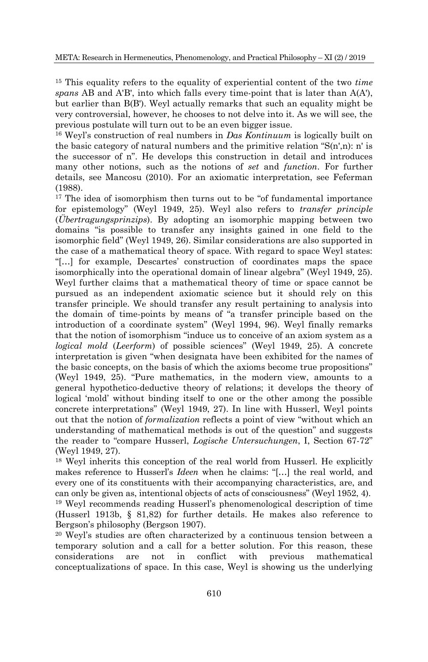<sup>15</sup> This equality refers to the equality of experiential content of the two *time spans* AB and A'B', into which falls every time-point that is later than A(A'), but earlier than B(B'). Weyl actually remarks that such an equality might be very controversial, however, he chooses to not delve into it. As we will see, the previous postulate will turn out to be an even bigger issue.

<sup>16</sup> Weyl"s construction of real numbers in *Das Kontinuum* is logically built on the basic category of natural numbers and the primitive relation "S(n',n): n' is the successor of n". He develops this construction in detail and introduces many other notions, such as the notions of *set* and *function*. For further details, see Mancosu (2010). For an axiomatic interpretation, see Feferman (1988).

 $17$  The idea of isomorphism then turns out to be "of fundamental importance for epistemology" (Weyl 1949, 25). Weyl also refers to *transfer principle* (*Übertragungsprinzips*). By adopting an isomorphic mapping between two domains "is possible to transfer any insights gained in one field to the isomorphic field" (Weyl 1949, 26). Similar considerations are also supported in the case of a mathematical theory of space. With regard to space Weyl states: "[…] for example, Descartes" construction of coordinates maps the space isomorphically into the operational domain of linear algebra" (Weyl 1949, 25). Weyl further claims that a mathematical theory of time or space cannot be pursued as an independent axiomatic science but it should rely on this transfer principle. We should transfer any result pertaining to analysis into the domain of time-points by means of "a transfer principle based on the introduction of a coordinate system" (Weyl 1994, 96). Weyl finally remarks that the notion of isomorphism "induce us to conceive of an axiom system as a *logical mold* (*Leerform*) of possible sciences" (Weyl 1949, 25). A concrete interpretation is given "when designata have been exhibited for the names of the basic concepts, on the basis of which the axioms become true propositions" (Weyl 1949, 25). "Pure mathematics, in the modern view, amounts to a general hypothetico-deductive theory of relations; it develops the theory of logical "mold" without binding itself to one or the other among the possible concrete interpretations" (Weyl 1949, 27). In line with Husserl, Weyl points out that the notion of *formalization* reflects a point of view "without which an understanding of mathematical methods is out of the question" and suggests the reader to "compare Husserl, *Logische Untersuchungen*, I, Section 67-72" (Weyl 1949, 27).

<sup>18</sup> Weyl inherits this conception of the real world from Husserl. He explicitly makes reference to Husserl"s *Ideen* when he claims: "[…] the real world, and every one of its constituents with their accompanying characteristics, are, and can only be given as, intentional objects of acts of consciousness" (Weyl 1952, 4). <sup>19</sup> Weyl recommends reading Husserl"s phenomenological description of time (Husserl 1913b, § 81,82) for further details. He makes also reference to Bergson"s philosophy (Bergson 1907).

<sup>20</sup> Weyl"s studies are often characterized by a continuous tension between a temporary solution and a call for a better solution. For this reason, these considerations are not in conflict with previous mathematical conceptualizations of space. In this case, Weyl is showing us the underlying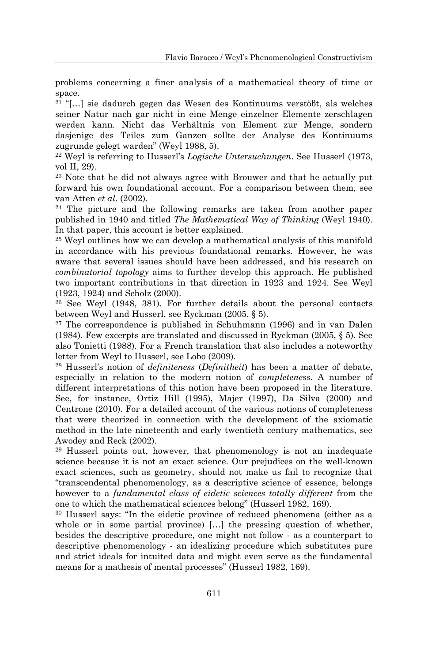problems concerning a finer analysis of a mathematical theory of time or space.

<sup>21</sup> "[…] sie dadurch gegen das Wesen des Kontinuums verstöβt, als welches seiner Natur nach gar nicht in eine Menge einzelner Elemente zerschlagen werden kann. Nicht das Verhältnis von Element zur Menge, sondern dasjenige des Teiles zum Ganzen sollte der Analyse des Kontinuums zugrunde gelegt warden" (Weyl 1988, 5).

<sup>22</sup> Weyl is referring to Husserl"s *Logische Untersuchungen*. See Husserl (1973, vol II, 29).

<sup>23</sup> Note that he did not always agree with Brouwer and that he actually put forward his own foundational account. For a comparison between them, see van Atten *et al*. (2002).

<sup>24</sup> The picture and the following remarks are taken from another paper published in 1940 and titled *The Mathematical Way of Thinking* (Weyl 1940). In that paper, this account is better explained.

<sup>25</sup> Weyl outlines how we can develop a mathematical analysis of this manifold in accordance with his previous foundational remarks. However, he was aware that several issues should have been addressed, and his research on *combinatorial topology* aims to further develop this approach. He published two important contributions in that direction in 1923 and 1924. See Weyl (1923, 1924) and Scholz (2000).

<sup>26</sup> See Weyl (1948, 381). For further details about the personal contacts between Weyl and Husserl, see Ryckman (2005, § 5).

<sup>27</sup> The correspondence is published in Schuhmann (1996) and in van Dalen (1984). Few excerpts are translated and discussed in Ryckman (2005, § 5). See also Tonietti (1988). For a French translation that also includes a noteworthy letter from Weyl to Husserl, see Lobo (2009).

<sup>28</sup> Husserl"s notion of *definiteness* (*Definitheit*) has been a matter of debate, especially in relation to the modern notion of *completeness*. A number of different interpretations of this notion have been proposed in the literature. See, for instance, Ortiz Hill (1995), Majer (1997), Da Silva (2000) and Centrone (2010). For a detailed account of the various notions of completeness that were theorized in connection with the development of the axiomatic method in the late nineteenth and early twentieth century mathematics, see Awodey and Reck (2002).

<sup>29</sup> Husserl points out, however, that phenomenology is not an inadequate science because it is not an exact science. Our prejudices on the well-known exact sciences, such as geometry, should not make us fail to recognize that "transcendental phenomenology, as a descriptive science of essence, belongs however to a *fundamental class of eidetic sciences totally different* from the one to which the mathematical sciences belong" (Husserl 1982, 169).

<sup>30</sup> Husserl says: "In the eidetic province of reduced phenomena (either as a whole or in some partial province) […] the pressing question of whether, besides the descriptive procedure, one might not follow - as a counterpart to descriptive phenomenology - an idealizing procedure which substitutes pure and strict ideals for intuited data and might even serve as the fundamental means for a mathesis of mental processes" (Husserl 1982, 169).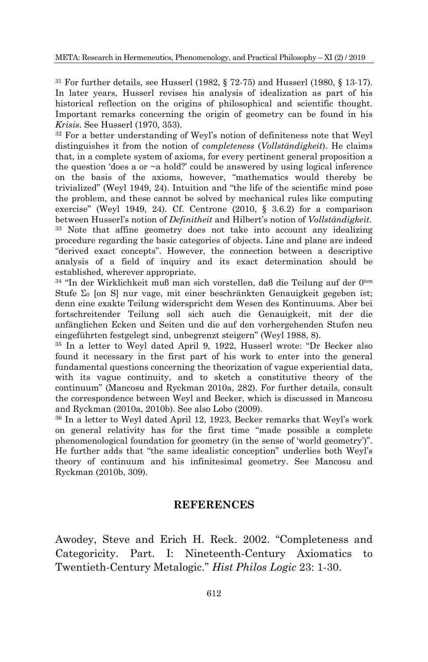<sup>31</sup> For further details, see Husserl (1982, § 72-75) and Husserl (1980, § 13-17). In later years, Husserl revises his analysis of idealization as part of his historical reflection on the origins of philosophical and scientific thought. Important remarks concerning the origin of geometry can be found in his *Krisis*. See Husserl (1970, 353).

<sup>32</sup> For a better understanding of Weyl"s notion of definiteness note that Weyl distinguishes it from the notion of *completeness* (*Vollständigkeit*). He claims that, in a complete system of axioms, for every pertinent general proposition a the question 'does a or  $\sim$ a hold?' could be answered by using logical inference on the basis of the axioms, however, "mathematics would thereby be trivialized" (Weyl 1949, 24). Intuition and "the life of the scientific mind pose the problem, and these cannot be solved by mechanical rules like computing exercise" (Weyl 1949, 24). Cf. Centrone (2010, § 3.6.2) for a comparison between Husserl"s notion of *Definitheit* and Hilbert"s notion of *Vollständigkeit*. <sup>33</sup> Note that affine geometry does not take into account any idealizing procedure regarding the basic categories of objects. Line and plane are indeed "derived exact concepts". However, the connection between a descriptive analysis of a field of inquiry and its exact determination should be established, wherever appropriate.

<sup>34</sup> "In der Wirklichkeit muβ man sich vorstellen, daβ die Teilung auf der 0ten Stufe  $\Sigma_0$  [on S] nur vage, mit einer beschränkten Genauigkeit gegeben ist; denn eine exakte Teilung widerspricht dem Wesen des Kontinuums. Aber bei fortschreitender Teilung soll sich auch die Genauigkeit, mit der die anfänglichen Ecken und Seiten und die auf den vorhergehenden Stufen neu eingeführten festgelegt sind, unbegrenzt steigern" (Weyl 1988, 8).

<sup>35</sup> In a letter to Weyl dated April 9, 1922, Husserl wrote: "Dr Becker also found it necessary in the first part of his work to enter into the general fundamental questions concerning the theorization of vague experiential data, with its vague continuity, and to sketch a constitutive theory of the continuum" (Mancosu and Ryckman 2010a, 282). For further details, consult the correspondence between Weyl and Becker, which is discussed in Mancosu and Ryckman (2010a, 2010b). See also Lobo (2009).

<sup>36</sup> In a letter to Weyl dated April 12, 1923, Becker remarks that Weyl"s work on general relativity has for the first time "made possible a complete phenomenological foundation for geometry (in the sense of "world geometry")". He further adds that "the same idealistic conception" underlies both Weyl"s theory of continuum and his infinitesimal geometry. See Mancosu and Ryckman (2010b, 309).

#### **REFERENCES**

Awodey, Steve and Erich H. Reck. 2002. "Completeness and Categoricity. Part. I: Nineteenth-Century Axiomatics to Twentieth-Century Metalogic." *Hist Philos Logic* 23: 1-30.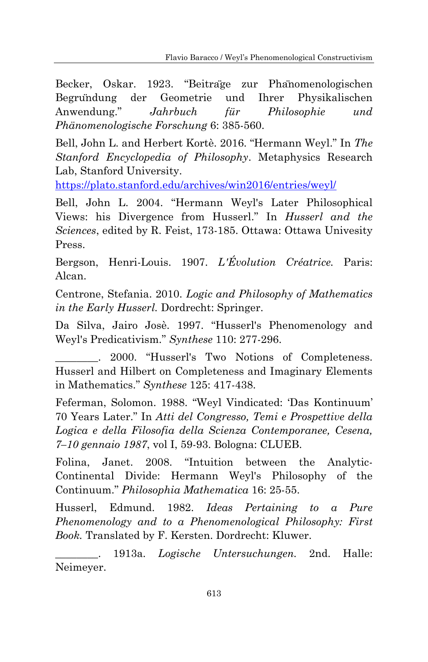Becker, Oskar. 1923. "Beitrage zur Phanomenologischen Begrundung der Geometrie und Ihrer Physikalischen Anwendung." *Jahrbuch für Philosophie und Phänomenologische Forschung* 6: 385-560.

Bell, John L. and Herbert Kortè. 2016. "Hermann Weyl." In *The Stanford Encyclopedia of Philosophy*. Metaphysics Research Lab, Stanford University.

<https://plato.stanford.edu/archives/win2016/entries/weyl/>

Bell, John L. 2004. "Hermann Weyl's Later Philosophical Views: his Divergence from Husserl." In *Husserl and the Sciences*, edited by R. Feist, 173-185. Ottawa: Ottawa Univesity Press.

Bergson, Henri-Louis. 1907. *L'Évolution Créatrice.* Paris: Alcan.

Centrone, Stefania. 2010. *Logic and Philosophy of Mathematics in the Early Husserl.* Dordrecht: Springer.

Da Silva, Jairo Josè. 1997. "Husserl's Phenomenology and Weyl's Predicativism." *Synthese* 110: 277-296.

2000. "Husserl's Two Notions of Completeness. Husserl and Hilbert on Completeness and Imaginary Elements in Mathematics." *Synthese* 125: 417-438.

Feferman, Solomon. 1988. "Weyl Vindicated: "Das Kontinuum" 70 Years Later." In *Atti del Congresso, Temi e Prospettive della Logica e della Filosofia della Scienza Contemporanee, Cesena, 7–10 gennaio 1987*, vol I, 59-93. Bologna: CLUEB.

Folina, Janet. 2008. "Intuition between the Analytic-Continental Divide: Hermann Weyl's Philosophy of the Continuum." *Philosophia Mathematica* 16: 25-55.

Husserl, Edmund. 1982. *Ideas Pertaining to a Pure Phenomenology and to a Phenomenological Philosophy: First Book.* Translated by F. Kersten. Dordrecht: Kluwer.

\_\_\_\_\_\_\_\_. 1913a. *Logische Untersuchungen.* 2nd. Halle: Neimeyer.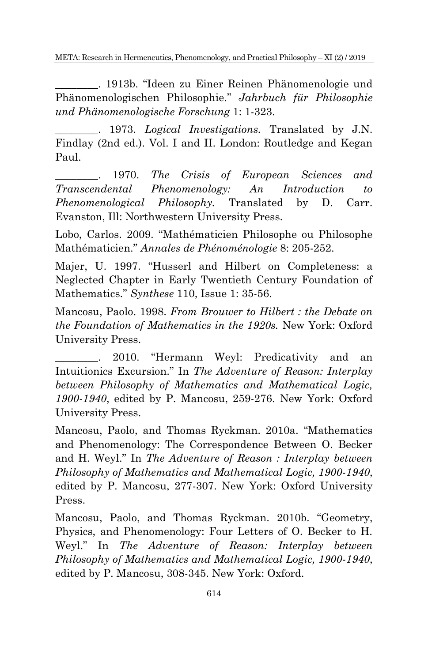\_\_\_\_\_\_\_\_. 1913b. "Ideen zu Einer Reinen Phänomenologie und Phänomenologischen Philosophie." *Jahrbuch für Philosophie und Phänomenologische Forschung* 1: 1-323.

\_\_\_\_\_\_\_\_. 1973. *Logical Investigations.* Translated by J.N. Findlay (2nd ed.). Vol. I and II. London: Routledge and Kegan Paul.

\_\_\_\_\_\_\_\_. 1970. *The Crisis of European Sciences and Transcendental Phenomenology: An Introduction to Phenomenological Philosophy.* Translated by D. Carr. Evanston, Ill: Northwestern University Press.

Lobo, Carlos. 2009. "Mathématicien Philosophe ou Philosophe Mathématicien." *Annales de Phénoménologie* 8: 205-252.

Majer, U. 1997. "Husserl and Hilbert on Completeness: a Neglected Chapter in Early Twentieth Century Foundation of Mathematics." *Synthese* 110, Issue 1: 35-56.

Mancosu, Paolo. 1998. *From Brouwer to Hilbert : the Debate on the Foundation of Mathematics in the 1920s.* New York: Oxford University Press.

2010. "Hermann Weyl: Predicativity and an Intuitionics Excursion." In *The Adventure of Reason: Interplay between Philosophy of Mathematics and Mathematical Logic, 1900-1940*, edited by P. Mancosu, 259-276. New York: Oxford University Press.

Mancosu, Paolo, and Thomas Ryckman. 2010a. "Mathematics and Phenomenology: The Correspondence Between O. Becker and H. Weyl." In *The Adventure of Reason : Interplay between Philosophy of Mathematics and Mathematical Logic, 1900-1940*, edited by P. Mancosu, 277-307. New York: Oxford University Press.

Mancosu, Paolo, and Thomas Ryckman. 2010b. "Geometry, Physics, and Phenomenology: Four Letters of O. Becker to H. Weyl." In *The Adventure of Reason: Interplay between Philosophy of Mathematics and Mathematical Logic, 1900-1940*, edited by P. Mancosu, 308-345. New York: Oxford.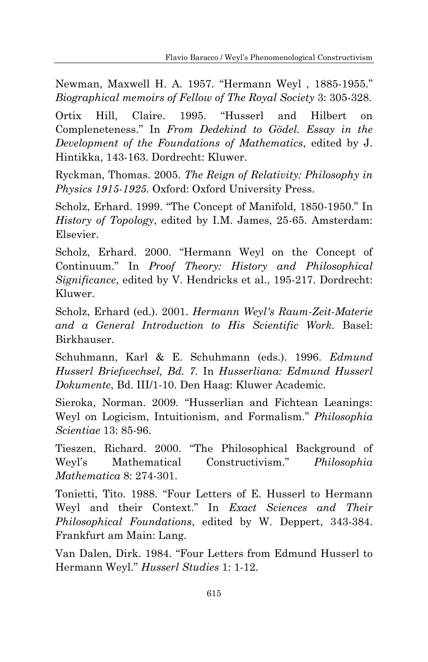Newman, Maxwell H. A. 1957. "Hermann Weyl , 1885-1955." *Biographical memoirs of Fellow of The Royal Society* 3: 305-328.

Ortix Hill, Claire. 1995. "Husserl and Hilbert on Compleneteness." In *From Dedekind to Gödel. Essay in the Development of the Foundations of Mathematics*, edited by J. Hintikka, 143-163. Dordrecht: Kluwer.

Ryckman, Thomas. 2005. *The Reign of Relativity: Philosophy in Physics 1915-1925.* Oxford: Oxford University Press.

Scholz, Erhard. 1999. "The Concept of Manifold, 1850-1950." In *History of Topology*, edited by I.M. James, 25-65. Amsterdam: Elsevier.

Scholz, Erhard. 2000. "Hermann Weyl on the Concept of Continuum." In *Proof Theory: History and Philosophical Significance*, edited by V. Hendricks et al., 195-217. Dordrecht: Kluwer.

Scholz, Erhard (ed.). 2001. *Hermann Weyl's Raum-Zeit-Materie and a General Introduction to His Scientific Work.* Basel: Birkhauser.

Schuhmann, Karl & E. Schuhmann (eds.). 1996. *Edmund Husserl Briefwechsel, Bd. 7.* In *Husserliana: Edmund Husserl Dokumente*, Bd. III/1-10. Den Haag: Kluwer Academic.

Sieroka, Norman. 2009. "Husserlian and Fichtean Leanings: Weyl on Logicism, Intuitionism, and Formalism." *Philosophia Scientiae* 13: 85-96.

Tieszen, Richard. 2000. "The Philosophical Background of Weyl"s Mathematical Constructivism." *Philosophia Mathematica* 8: 274-301.

Tonietti, Tito. 1988. "Four Letters of E. Husserl to Hermann Weyl and their Context." In *Exact Sciences and Their Philosophical Foundations*, edited by W. Deppert, 343-384. Frankfurt am Main: Lang.

Van Dalen, Dirk. 1984. "Four Letters from Edmund Husserl to Hermann Weyl." *Husserl Studies* 1: 1-12.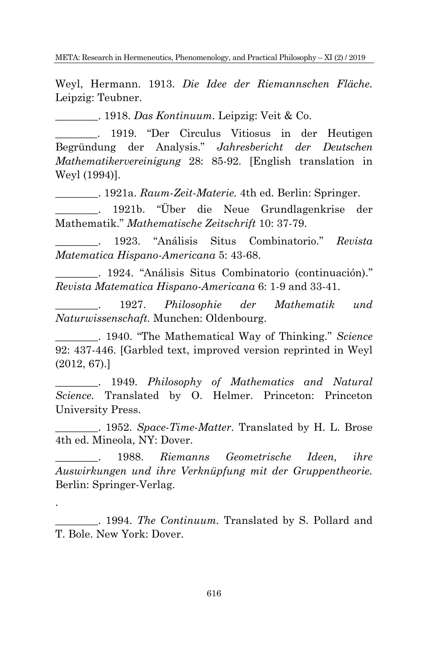Weyl, Hermann. 1913. *Die Idee der Riemannschen Fläche.* Leipzig: Teubner.

\_\_\_\_\_\_\_\_. 1918. *Das Kontinuum.* Leipzig: Veit & Co.

\_\_\_\_\_\_\_\_. 1919. "Der Circulus Vitiosus in der Heutigen Begründung der Analysis." *Jahresbericht der Deutschen Mathematikervereinigung* 28: 85-92. [English translation in Weyl (1994)].

\_\_\_\_\_\_\_\_. 1921a. *Raum-Zeit-Materie.* 4th ed. Berlin: Springer.

\_\_\_\_\_\_\_\_. 1921b. "Über die Neue Grundlagenkrise der Mathematik." *Mathematische Zeitschrift* 10: 37-79.

\_\_\_\_\_\_\_\_. 1923. "Análisis Situs Combinatorio." *Revista Matematica Hispano-Americana* 5: 43-68.

\_\_\_\_\_\_\_\_. 1924. "Análisis Situs Combinatorio (continuación)." *Revista Matematica Hispano-Americana* 6: 1-9 and 33-41.

\_\_\_\_\_\_\_\_. 1927. *Philosophie der Mathematik und Naturwissenschaft.* Munchen: Oldenbourg.

\_\_\_\_\_\_\_\_. 1940. "The Mathematical Way of Thinking." *Science* 92: 437-446. [Garbled text, improved version reprinted in Weyl (2012, 67).]

\_\_\_\_\_\_\_\_. 1949. *Philosophy of Mathematics and Natural Science.* Translated by O. Helmer. Princeton: Princeton University Press.

\_\_\_\_\_\_\_\_. 1952. *Space-Time-Matter.* Translated by H. L. Brose 4th ed. Mineola, NY: Dover.

\_\_\_\_\_\_\_\_. 1988. *Riemanns Geometrische Ideen, ihre Auswirkungen und ihre Verknüpfung mit der Gruppentheorie.* Berlin: Springer-Verlag.

\_\_\_\_\_\_\_\_. 1994. *The Continuum.* Translated by S. Pollard and T. Bole. New York: Dover.

.